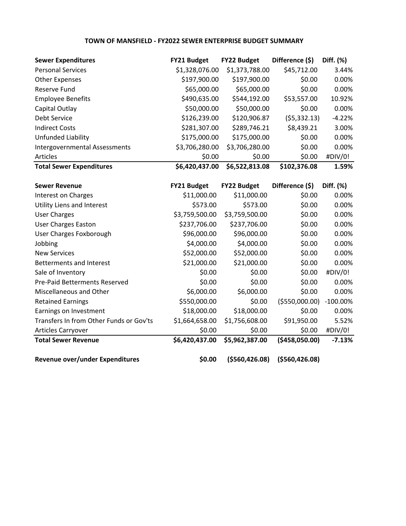# **TOWN OF MANSFIELD - FY2022 SEWER ENTERPRISE BUDGET SUMMARY**

| <b>Sewer Expenditures</b>            | <b>FY21 Budget</b> | <b>FY22 Budget</b> | Difference (\$) | Diff. (%) |
|--------------------------------------|--------------------|--------------------|-----------------|-----------|
| <b>Personal Services</b>             | \$1,328,076.00     | \$1,373,788.00     | \$45,712.00     | 3.44%     |
| <b>Other Expenses</b>                | \$197,900.00       | \$197,900.00       | \$0.00          | 0.00%     |
| Reserve Fund                         | \$65,000.00        | \$65,000.00        | \$0.00          | 0.00%     |
| <b>Employee Benefits</b>             | \$490,635.00       | \$544,192.00       | \$53,557.00     | 10.92%    |
| Capital Outlay                       | \$50,000.00        | \$50,000.00        | \$0.00          | 0.00%     |
| Debt Service                         | \$126,239.00       | \$120,906.87       | (55, 332.13)    | $-4.22%$  |
| <b>Indirect Costs</b>                | \$281,307.00       | \$289,746.21       | \$8,439.21      | 3.00%     |
| Unfunded Liability                   | \$175,000.00       | \$175,000.00       | \$0.00          | 0.00%     |
| <b>Intergovernmental Assessments</b> | \$3,706,280.00     | \$3,706,280.00     | \$0.00          | 0.00%     |
| Articles                             | \$0.00             | \$0.00             | \$0.00          | #DIV/0!   |
| <b>Total Sewer Expenditures</b>      | \$6,420,437.00     | \$6,522,813.08     | \$102,376.08    | 1.59%     |

| <b>Sewer Revenue</b>                    | FY21 Budget    | <b>FY22 Budget</b> | Difference (\$)  | Diff. (%)   |
|-----------------------------------------|----------------|--------------------|------------------|-------------|
| <b>Interest on Charges</b>              | \$11,000.00    | \$11,000.00        | \$0.00           | 0.00%       |
| Utility Liens and Interest              | \$573.00       | \$573.00           | \$0.00           | 0.00%       |
| <b>User Charges</b>                     | \$3,759,500.00 | \$3,759,500.00     | \$0.00           | 0.00%       |
| <b>User Charges Easton</b>              | \$237,706.00   | \$237,706.00       | \$0.00           | 0.00%       |
| User Charges Foxborough                 | \$96,000.00    | \$96,000.00        | \$0.00           | 0.00%       |
| Jobbing                                 | \$4,000.00     | \$4,000.00         | \$0.00           | 0.00%       |
| <b>New Services</b>                     | \$52,000.00    | \$52,000.00        | \$0.00           | 0.00%       |
| Betterments and Interest                | \$21,000.00    | \$21,000.00        | \$0.00           | 0.00%       |
| Sale of Inventory                       | \$0.00         | \$0.00             | \$0.00           | #DIV/0!     |
| <b>Pre-Paid Betterments Reserved</b>    | \$0.00         | \$0.00             | \$0.00           | 0.00%       |
| Miscellaneous and Other                 | \$6,000.00     | \$6,000.00         | \$0.00           | 0.00%       |
| <b>Retained Earnings</b>                | \$550,000.00   | \$0.00             | ( \$550,000.00)  | $-100.00\%$ |
| Earnings on Investment                  | \$18,000.00    | \$18,000.00        | \$0.00           | 0.00%       |
| Transfers In from Other Funds or Gov'ts | \$1,664,658.00 | \$1,756,608.00     | \$91,950.00      | 5.52%       |
| Articles Carryover                      | \$0.00         | \$0.00             | \$0.00           | #DIV/0!     |
| <b>Total Sewer Revenue</b>              | \$6,420,437.00 | \$5,962,387.00     | (\$458,050.00)   | $-7.13%$    |
| Revenue over/under Expenditures         | \$0.00         | ( \$560, 426.08)   | ( \$560, 426.08) |             |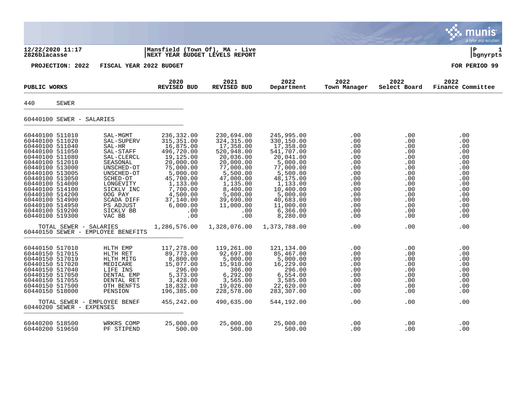|                                                                                                                                                                                                                                                                                                              |                                                                                                                                                                                                         |                                                                                                                                                                                                 |                                                                                                                                                                                                  |                                                                                                                                                                                                            |                                                                                                              |                                                                                                                             | a tyler erp solution                                                                                         |
|--------------------------------------------------------------------------------------------------------------------------------------------------------------------------------------------------------------------------------------------------------------------------------------------------------------|---------------------------------------------------------------------------------------------------------------------------------------------------------------------------------------------------------|-------------------------------------------------------------------------------------------------------------------------------------------------------------------------------------------------|--------------------------------------------------------------------------------------------------------------------------------------------------------------------------------------------------|------------------------------------------------------------------------------------------------------------------------------------------------------------------------------------------------------------|--------------------------------------------------------------------------------------------------------------|-----------------------------------------------------------------------------------------------------------------------------|--------------------------------------------------------------------------------------------------------------|
| 12/22/2020 11:17<br>2826blacasse                                                                                                                                                                                                                                                                             |                                                                                                                                                                                                         | Mansfield (Town Of), MA - Live<br><b>NEXT YEAR BUDGET LEVELS REPORT</b>                                                                                                                         |                                                                                                                                                                                                  |                                                                                                                                                                                                            |                                                                                                              |                                                                                                                             | l P<br>bgnyrpts                                                                                              |
| PROJECTION: 2022                                                                                                                                                                                                                                                                                             | FISCAL YEAR 2022 BUDGET                                                                                                                                                                                 |                                                                                                                                                                                                 |                                                                                                                                                                                                  |                                                                                                                                                                                                            |                                                                                                              |                                                                                                                             | FOR PERIOD 99                                                                                                |
| PUBLIC WORKS                                                                                                                                                                                                                                                                                                 |                                                                                                                                                                                                         | 2020<br><b>REVISED BUD</b>                                                                                                                                                                      | 2021<br><b>REVISED BUD</b>                                                                                                                                                                       | 2022<br>Department                                                                                                                                                                                         | 2022<br>Town Manager                                                                                         | 2022<br>Select Board                                                                                                        | 2022<br>Finance Committee                                                                                    |
| 440<br>SEWER                                                                                                                                                                                                                                                                                                 |                                                                                                                                                                                                         |                                                                                                                                                                                                 |                                                                                                                                                                                                  |                                                                                                                                                                                                            |                                                                                                              |                                                                                                                             |                                                                                                              |
| 60440100 SEWER - SALARIES                                                                                                                                                                                                                                                                                    |                                                                                                                                                                                                         |                                                                                                                                                                                                 |                                                                                                                                                                                                  |                                                                                                                                                                                                            |                                                                                                              |                                                                                                                             |                                                                                                              |
| 60440100 511010<br>60440100 511020<br>60440100 511040<br>60440100 511050<br>60440100 511080<br>60440100 512010<br>60440100 513000<br>60440100 513005<br>60440100 513050<br>60440100 514000<br>60440100 514100<br>60440100 514200<br>60440100 514900<br>60440100 514950<br>60440100 519200<br>60440100 519300 | SAL-MGMT<br>SAL-SUPERV<br>SAL-HR<br>SAL-STAFF<br>SAL-CLERCL<br>SEASONAL<br>UNSCHED-OT<br>UNSCHED-OT<br>SCHED-OT<br>LONGEVITY<br>SICKLV INC<br>OOG PAY<br>SCADA DIFF<br>PS ADJUST<br>SICKLV BB<br>VAC BB | 236,332.00<br>315, 351.00<br>16,875.00<br>496,720.00<br>19,125.00<br>20,000.00<br>75,000.00<br>5,000.00<br>45,700.00<br>1,133.00<br>7,700.00<br>4,500.00<br>37,140.00<br>6,000.00<br>.00<br>.00 | 230,694.00<br>324, 315.00<br>17,358.00<br>520,948.00<br>20,036.00<br>20,000.00<br>77,000.00<br>5,500.00<br>47,000.00<br>1,135.00<br>8,400.00<br>5,000.00<br>39,690.00<br>11,000.00<br>.00<br>.00 | 245,995.00<br>330,150.00<br>17,358.00<br>541,707.00<br>20,041.00<br>5,000.00<br>77,000.00<br>5,500.00<br>48,175.00<br>1,133.00<br>10,400.00<br>5,000.00<br>40,683.00<br>11,000.00<br>6, 366.00<br>8,280.00 | .00<br>.00<br>.00<br>.00<br>.00<br>.00<br>.00<br>.00<br>.00<br>.00<br>.00<br>.00<br>.00<br>.00<br>.00<br>.00 | .00<br>.00<br>.00<br>.00<br>$.00 \,$<br>.00<br>.00<br>.00<br>.00<br>$.00 \,$<br>.00<br>.00<br>$.00 \,$<br>.00<br>.00<br>.00 | .00<br>.00<br>.00<br>.00<br>.00<br>.00<br>.00<br>.00<br>.00<br>.00<br>.00<br>.00<br>.00<br>.00<br>.00<br>.00 |
|                                                                                                                                                                                                                                                                                                              | TOTAL SEWER - SALARIES<br>60440150 SEWER - EMPLOYEE BENEFITS                                                                                                                                            | 1,286,576.00                                                                                                                                                                                    | 1,328,076.00                                                                                                                                                                                     | 1,373,788.00                                                                                                                                                                                               | .00                                                                                                          | .00                                                                                                                         | .00                                                                                                          |
| 60440150 517010<br>60440150 517015<br>60440150 517019<br>60440150 517020<br>60440150 517040<br>60440150 517050<br>60440150 517055<br>60440150 517500<br>60440150 518000<br>60440200 SEWER - EXPENSES                                                                                                         | HLTH EMP<br>HLTH RET<br>HLTH MITG<br>MEDICARE<br>LIFE INS<br>DENTAL EMP<br>DENTAL RET<br>OTH BENFTS<br>PENSION<br>TOTAL SEWER - EMPLOYEE BENEF                                                          | 117,278.00<br>89,773.00<br>8,800.00<br>15,077.00<br>296.00<br>5,373.00<br>3,428.00<br>18,832.00<br>196,385.00<br>455,242.00                                                                     | 119,261.00<br>92,697.00<br>5,000.00<br>15,910.00<br>306.00<br>6, 292.00<br>3,565.00<br>19,026.00<br>228,578.00<br>490,635.00                                                                     | 121,134.00<br>85,467.00<br>5,000.00<br>16,229.00<br>296.00<br>6,554.00<br>3,585.00<br>22,620.00<br>283,307.00<br>544,192.00                                                                                | .00<br>.00<br>.00<br>.00<br>.00<br>.00<br>.00<br>.00<br>.00<br>.00                                           | .00<br>.00<br>.00<br>.00<br>.00<br>.00<br>.00<br>.00<br>$.00 \,$<br>.00.                                                    | .00<br>.00<br>.00<br>.00<br>.00<br>.00<br>.00<br>.00<br>.00<br>.00                                           |
| 60440200 518500<br>60440200 519650                                                                                                                                                                                                                                                                           | WRKRS COMP<br>PF STIPEND                                                                                                                                                                                | 25,000.00<br>500.00                                                                                                                                                                             | 25,000.00<br>500.00                                                                                                                                                                              | 25,000.00<br>500.00                                                                                                                                                                                        | .00<br>.00                                                                                                   | .00<br>.00                                                                                                                  | .00<br>.00                                                                                                   |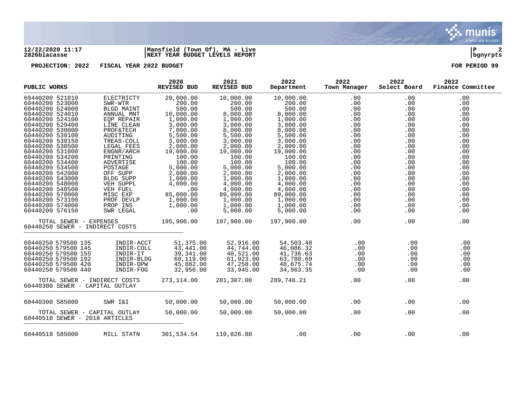

## **12/22/2020 11:17 |Mansfield (Town Of), MA - Live |P 2 2826blacasse |NEXT YEAR BUDGET LEVELS REPORT |bgnyrpts**

**PROJECTION: 2022 FISCAL YEAR 2022 BUDGET FOR PERIOD 99**

| PUBLIC WORKS                                                                                                                           |                                                                                           | 2020<br><b>REVISED BUD</b>                                                     | 2021<br>REVISED BUD                                                        | 2022<br>Department                                                         | 2022<br>Town Manager                                                                                                                                              | 2022<br>Select Board                        | 2022<br>Finance Committee              |
|----------------------------------------------------------------------------------------------------------------------------------------|-------------------------------------------------------------------------------------------|--------------------------------------------------------------------------------|----------------------------------------------------------------------------|----------------------------------------------------------------------------|-------------------------------------------------------------------------------------------------------------------------------------------------------------------|---------------------------------------------|----------------------------------------|
| 60440200 521010<br>60440200 523000                                                                                                     | ELECTRICTY<br>SWR-WTR                                                                     | 20,000.00<br>200.00                                                            | 10,000.00<br>200.00                                                        | 10,000.00<br>200.00                                                        | .00<br>.00                                                                                                                                                        | .00<br>.00                                  | .00<br>.00                             |
| 60440200 524000                                                                                                                        | BLGD MAINT                                                                                | 500.00                                                                         | 500.00                                                                     | 500.00                                                                     | .00                                                                                                                                                               | .00                                         | .00                                    |
| 60440200 524010                                                                                                                        | ANNUAL MNT                                                                                | $10,000$<br>$1,000.00$                                                         | 8,000.00                                                                   | 8,000.00                                                                   | $\begin{array}{c} .00\ 0.00\ 0.00\ 0.00\ 0.00\ 0.00\ 0.00\ 0.00\ 0.00\ 0.00\ 0.00\ 0.00\ 0.00\ 0.00\ 0.00\ 0.00\ 0.00\ 0.00\ 0.00\ 0.00\ 0.00\ 0.00\ \end{array}$ | .00                                         | .00                                    |
| 60440200 524100                                                                                                                        | EQP REPAIR                                                                                |                                                                                | 1,000.00                                                                   | 1,000.00                                                                   |                                                                                                                                                                   | .00                                         | .00                                    |
| 60440200 529400                                                                                                                        | LINE CLEAN                                                                                | 3,000.00                                                                       | 3,000.00                                                                   | 3,000.00                                                                   |                                                                                                                                                                   | .00                                         | .00                                    |
| 60440200 530000                                                                                                                        | <b>PROF&amp;TECH</b>                                                                      | 7,000.00                                                                       | 8,000.00                                                                   | 8,000.00                                                                   |                                                                                                                                                                   | .00                                         | .00                                    |
| 60440200 530100                                                                                                                        | AUDITING                                                                                  | 5,500.00                                                                       | 5,500.00                                                                   | 5,500.00                                                                   |                                                                                                                                                                   | .00                                         | .00                                    |
| 60440200 530150                                                                                                                        | TREAS-COLL                                                                                | 3,000.00                                                                       | 3,000.00                                                                   | 3,000.00                                                                   |                                                                                                                                                                   | .00                                         | .00                                    |
| 60440200 530500                                                                                                                        | LEGAL FEES                                                                                | 2,000.00                                                                       | 2,000.00                                                                   | 2,000.00                                                                   |                                                                                                                                                                   | .00                                         | .00                                    |
| 60440200 531000                                                                                                                        | ENGNR/ARCH                                                                                | 19,000.00                                                                      | 19,000.00                                                                  | 19,000.00                                                                  |                                                                                                                                                                   | .00                                         | .00                                    |
| 60440200 534200                                                                                                                        | PRINTING                                                                                  | 100.00                                                                         | 100.00                                                                     | 100.00                                                                     |                                                                                                                                                                   | .00                                         | .00                                    |
| 60440200 534400                                                                                                                        | ADVERTISE                                                                                 | 100.00                                                                         | 100.00                                                                     | 100.00                                                                     |                                                                                                                                                                   | .00                                         | .00                                    |
| 60440200 534500<br>60440200 542000                                                                                                     | POSTAGE                                                                                   | 5,000.00                                                                       | 5,000.00                                                                   | 5,000.00<br>2,000.00                                                       |                                                                                                                                                                   | .00<br>.00                                  | .00<br>.00                             |
| 60440200 543000                                                                                                                        | OFF SUPP<br>BLDG SUPP                                                                     | $2,000.00$<br>$1,000.00$                                                       | $2,000$<br>$1,000.00$<br>$0,00$                                            | 1,000.00                                                                   |                                                                                                                                                                   | .00                                         | .00                                    |
| 60440200 548000                                                                                                                        | VEH SUPPL                                                                                 | 4,000.00                                                                       | 4,000.00                                                                   | 4,000.00                                                                   |                                                                                                                                                                   | .00                                         | .00                                    |
| 60440200 548500                                                                                                                        |                                                                                           | .00                                                                            | 4,000.00                                                                   | 4,000.00                                                                   |                                                                                                                                                                   | .00                                         | .00                                    |
| 60440200 570000                                                                                                                        |                                                                                           | 85,000.00                                                                      | 89,000.00                                                                  | 89,000.00                                                                  |                                                                                                                                                                   | .00                                         | .00                                    |
| 60440200 573100                                                                                                                        | PROF DEVLP                                                                                | 1,000.00                                                                       | 1,000.00                                                                   | 1,000.00                                                                   |                                                                                                                                                                   | .00                                         | .00                                    |
| 60440200 574000                                                                                                                        |                                                                                           | 1,000.00                                                                       | 1,000.00                                                                   | 1,000.00                                                                   |                                                                                                                                                                   | .00                                         | .00                                    |
| 60440200 576150                                                                                                                        | VEH SUPPL<br>VEH FUEL<br>MISC EXP<br>PROF DEVL<br>PROP INS<br>SWR LEGAL<br>SWR LEGAL      | $\overline{00}$                                                                | 5,000.00                                                                   | 5,000.00                                                                   | .00                                                                                                                                                               | .00                                         | .00                                    |
|                                                                                                                                        | TOTAL SEWER - EXPENSES<br>60440250 SEWER - INDIRECT COSTS                                 | 195,900.00                                                                     | 197,900.00                                                                 | 197,900.00                                                                 | .00                                                                                                                                                               | .00                                         | .00                                    |
| 60440250 579500 135<br>60440250 579500 145<br>60440250 579500 155<br>60440250 579500 192<br>60440250 579500 420<br>60440250 579500 440 | INDIR-ACCT<br>INDIR-COLL<br>LNDIR-COL<br>INDIR-IT<br>INDIR-BLDG<br>INDIR-DPW<br>INDIR-PCC | 51,375.00<br>$43,441.00$<br>$39,341.00$<br>60,119.00<br>45,882.00<br>32,956.00 | 52,916.00<br>44,744.00<br>40,521.00<br>61,923.00<br>47,258.00<br>33,945.00 | 54,503.48<br>46,086.32<br>41,736.63<br>63,780.69<br>48,675.74<br>34,963.35 | .00<br>.00<br>.00<br>.00<br>.00<br>.00                                                                                                                            | .00<br>.00<br>.00<br>.00<br>$.00 \,$<br>.00 | .00<br>.00<br>.00<br>.00<br>.00<br>.00 |
|                                                                                                                                        | TOTAL SEWER - INDIRECT COSTS<br>60440300 SEWER - CAPITAL OUTLAY                           | 273,114.00                                                                     | 281,307.00                                                                 | 289,746.21                                                                 | .00                                                                                                                                                               | .00                                         | .00                                    |
| 60440300 585000                                                                                                                        | SWR I&I                                                                                   | 50,000.00                                                                      | 50,000.00                                                                  | 50,000.00                                                                  | .00                                                                                                                                                               | .00                                         | .00                                    |
|                                                                                                                                        | TOTAL SEWER - CAPITAL OUTLAY<br>60440518 SEWER - 2018 ARTICLES                            | 50,000.00                                                                      | 50,000.00                                                                  | 50,000.00                                                                  | .00                                                                                                                                                               | .00                                         | .00                                    |
| 60440518 585000                                                                                                                        | MILL STATN                                                                                | 301,534.54                                                                     | 110,826.80                                                                 | .00                                                                        | .00                                                                                                                                                               | .00                                         | .00                                    |

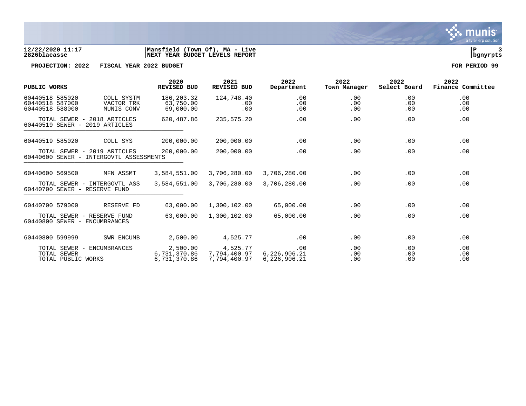

## **12/22/2020 11:17 |Mansfield (Town Of), MA - Live |P 3 2826blacasse |NEXT YEAR BUDGET LEVELS REPORT |bgnyrpts**

**PROJECTION: 2022 FISCAL YEAR 2022 BUDGET FOR PERIOD 99**

| PUBLIC WORKS                                          |                                                                        | 2020<br><b>REVISED BUD</b>               | 2021<br><b>REVISED BUD</b>               | 2022<br>Department                  | 2022<br>Town Manager | 2022<br>Select Board | 2022<br>Finance Committee |
|-------------------------------------------------------|------------------------------------------------------------------------|------------------------------------------|------------------------------------------|-------------------------------------|----------------------|----------------------|---------------------------|
| 60440518 585020<br>60440518 587000<br>60440518 588000 | COLL SYSTM<br>VACTOR TRK<br>MUNIS CONV                                 | 186, 203.32<br>63,750.00<br>69,000.00    | 124,748.40<br>.00<br>.00                 | .00<br>.00<br>.00                   | .00<br>.00<br>.00    | .00<br>.00<br>.00    | .00<br>.00<br>.00         |
| 60440519 SEWER - 2019 ARTICLES                        | TOTAL SEWER - 2018 ARTICLES                                            | 620,487.86                               | 235,575.20                               | .00                                 | .00                  | .00                  | .00                       |
| 60440519 585020                                       | COLL SYS                                                               | 200,000.00                               | 200,000.00                               | .00                                 | .00                  | .00                  | .00                       |
|                                                       | TOTAL SEWER - 2019 ARTICLES<br>60440600 SEWER - INTERGOVTL ASSESSMENTS | 200,000.00                               | 200,000.00                               | .00                                 | .00                  | .00                  | .00                       |
| 60440600 569500                                       | MFN ASSMT                                                              | 3,584,551.00                             | 3,706,280.00                             | 3,706,280.00                        | .00                  | .00                  | .00                       |
| 60440700 SEWER - RESERVE FUND                         | TOTAL SEWER - INTERGOVTL ASS                                           | 3,584,551.00                             | 3,706,280.00                             | 3,706,280.00                        | .00                  | .00                  | .00                       |
| 60440700 579000                                       | RESERVE FD                                                             | 63,000.00                                | 1,300,102.00                             | 65,000.00                           | .00                  | .00                  | .00                       |
| 60440800 SEWER - ENCUMBRANCES                         | TOTAL SEWER - RESERVE FUND                                             | 63,000.00                                | 1,300,102.00                             | 65,000.00                           | .00                  | .00                  | .00                       |
| 60440800 599999                                       | SWR ENCUMB                                                             | 2,500.00                                 | 4,525.77                                 | .00                                 | .00                  | $.00 \ \rm$          | .00                       |
| TOTAL SEWER<br>TOTAL PUBLIC WORKS                     | TOTAL SEWER - ENCUMBRANCES                                             | 2,500.00<br>6,731,370.86<br>6,731,370.86 | 4,525.77<br>7,794,400.97<br>7,794,400.97 | .00<br>6,226,906.21<br>6,226,906.21 | .00<br>.00<br>.00    | .00<br>.00<br>.00    | .00<br>.00<br>.00         |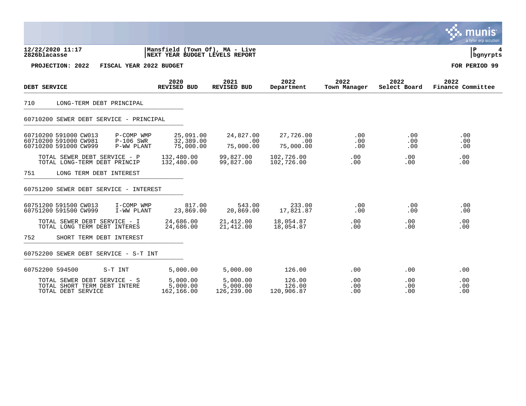|                                                                                                                  |                                     |                                    |                                |                      |                        | munis<br>a tyler erp solution |
|------------------------------------------------------------------------------------------------------------------|-------------------------------------|------------------------------------|--------------------------------|----------------------|------------------------|-------------------------------|
| Mansfield (Town Of), MA - Live<br>12/22/2020 11:17<br>2826blacasse<br>NEXT YEAR BUDGET LEVELS REPORT             |                                     |                                    |                                |                      |                        |                               |
| PROJECTION: 2022<br>FISCAL YEAR 2022 BUDGET                                                                      |                                     |                                    |                                |                      |                        | FOR PERIOD 99                 |
| DEBT SERVICE                                                                                                     | 2020<br>REVISED BUD                 | 2021<br>REVISED BUD                | 2022<br>Department             | 2022<br>Town Manager | 2022<br>Select Board   | 2022<br>Finance Committee     |
| 710<br>LONG-TERM DEBT PRINCIPAL                                                                                  |                                     |                                    |                                |                      |                        |                               |
| 60710200 SEWER DEBT SERVICE - PRINCIPAL                                                                          |                                     |                                    |                                |                      |                        |                               |
| 60710200 591000 CW013<br>P-COMP WMP<br>60710200 591000 CW981<br>P-106 SWR<br>60710200 591000 CW999<br>P-WW PLANT | 25,091.00<br>32,389.00<br>75,000.00 | 24,827.00<br>.00<br>75,000.00      | 27,726.00<br>.00<br>75,000.00  | .00<br>.00<br>.00    | $.00 \,$<br>.00<br>.00 | .00<br>.00<br>.00             |
| TOTAL SEWER DEBT SERVICE - P<br>TOTAL LONG-TERM DEBT PRINCIP                                                     | 132,480.00<br>132,480.00            | 99,827.00<br>99,827.00             | 102,726.00<br>102,726.00       | $.00 \,$<br>.00      | $.00 \,$<br>$.00 \,$   | .00<br>.00                    |
| 751<br>LONG TERM DEBT INTEREST                                                                                   |                                     |                                    |                                |                      |                        |                               |
| 60751200 SEWER DEBT SERVICE - INTEREST                                                                           |                                     |                                    |                                |                      |                        |                               |
| 60751200 591500 CW013<br>I-COMP WMP<br>60751200 591500 CW999<br>I-WW PLANT                                       | 817.00<br>23,869.00                 | 543.00<br>20,869.00                | 233.00<br>17,821.87            | $.00 \ \,$<br>.00    | $.00 \,$<br>.00        | .00<br>.00                    |
| TOTAL SEWER DEBT SERVICE - I<br>TOTAL LONG TERM DEBT INTERES                                                     | 24,686.00<br>24,686.00              | 21,412.00<br>21,412.00             | 18,054.87<br>18,054.87         | .00<br>.00.          | .00<br>$.00 \,$        | .00<br>$.00 \,$               |
| 752<br>SHORT TERM DEBT INTEREST                                                                                  |                                     |                                    |                                |                      |                        |                               |
| 60752200 SEWER DEBT SERVICE - S-T INT                                                                            |                                     |                                    |                                |                      |                        |                               |
| 60752200 594500<br>S-T INT                                                                                       | 5,000.00                            | 5,000.00                           | 126.00                         | .00                  | $.00 \,$               | .00                           |
| TOTAL SEWER DEBT SERVICE - S<br>TOTAL SHORT TERM DEBT INTERE<br>TOTAL DEBT SERVICE                               | 5,000.00<br>5,000.00<br>162,166.00  | 5,000.00<br>5,000.00<br>126,239.00 | 126.00<br>126.00<br>120,906.87 | .00<br>.00<br>.00    | $.00 \,$<br>.00<br>.00 | .00<br>.00<br>.00             |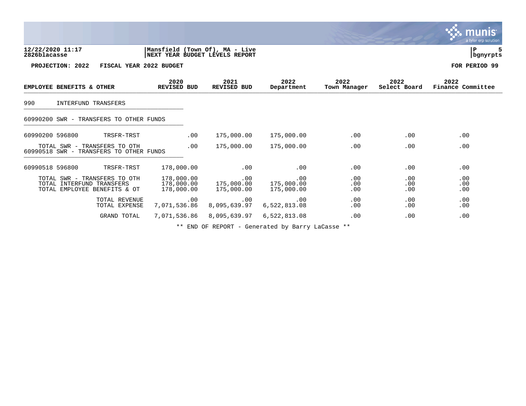|                                                                                           |                                                                  |                                 |                                 |                      |                      | munis<br>a tyler erp solution |
|-------------------------------------------------------------------------------------------|------------------------------------------------------------------|---------------------------------|---------------------------------|----------------------|----------------------|-------------------------------|
| 12/22/2020 11:17<br>2826blacasse                                                          | Mansfield (Town Of), MA - Live<br>NEXT YEAR BUDGET LEVELS REPORT |                                 |                                 |                      |                      | ΙP<br>bgnyrpts                |
| PROJECTION: 2022                                                                          | FISCAL YEAR 2022 BUDGET                                          |                                 |                                 |                      |                      | FOR PERIOD 99                 |
| EMPLOYEE BENEFITS & OTHER                                                                 | 2020<br>REVISED BUD                                              | 2021<br><b>REVISED BUD</b>      | 2022<br>Department              | 2022<br>Town Manager | 2022<br>Select Board | 2022<br>Finance Committee     |
| 990<br>INTERFUND TRANSFERS                                                                |                                                                  |                                 |                                 |                      |                      |                               |
| 60990200 SWR - TRANSFERS TO OTHER FUNDS                                                   |                                                                  |                                 |                                 |                      |                      |                               |
| 60990200 596800<br>TRSFR-TRST                                                             | .00                                                              | 175,000.00                      | 175,000.00                      | .00                  | .00                  | .00                           |
| TOTAL SWR - TRANSFERS TO OTH<br>60990518 SWR - TRANSFERS TO OTHER FUNDS                   | .00                                                              | 175,000.00                      | 175,000.00                      | .00                  | .00                  | .00                           |
| 60990518 596800<br>TRSFR-TRST                                                             | 178,000.00                                                       | .00                             | .00                             | .00                  | .00                  | .00                           |
| TOTAL SWR - TRANSFERS TO OTH<br>TOTAL INTERFUND TRANSFERS<br>TOTAL EMPLOYEE BENEFITS & OT | 178,000.00<br>178,000.00<br>178,000.00                           | .00<br>175,000.00<br>175,000.00 | .00<br>175,000.00<br>175,000.00 | .00<br>.00<br>.00    | .00<br>.00<br>.00    | .00<br>.00<br>.00             |
| TOTAL REVENUE<br>TOTAL EXPENSE                                                            | .00<br>7,071,536.86                                              | .00<br>8,095,639.97             | .00<br>6,522,813.08             | .00<br>.00           | .00<br>.00           | .00<br>.00                    |
| GRAND TOTAL                                                                               | 7,071,536.86                                                     | 8,095,639.97                    | 6,522,813.08                    | .00                  | .00                  | .00                           |

 $\bullet$ 

\*\* END OF REPORT - Generated by Barry LaCasse \*\*